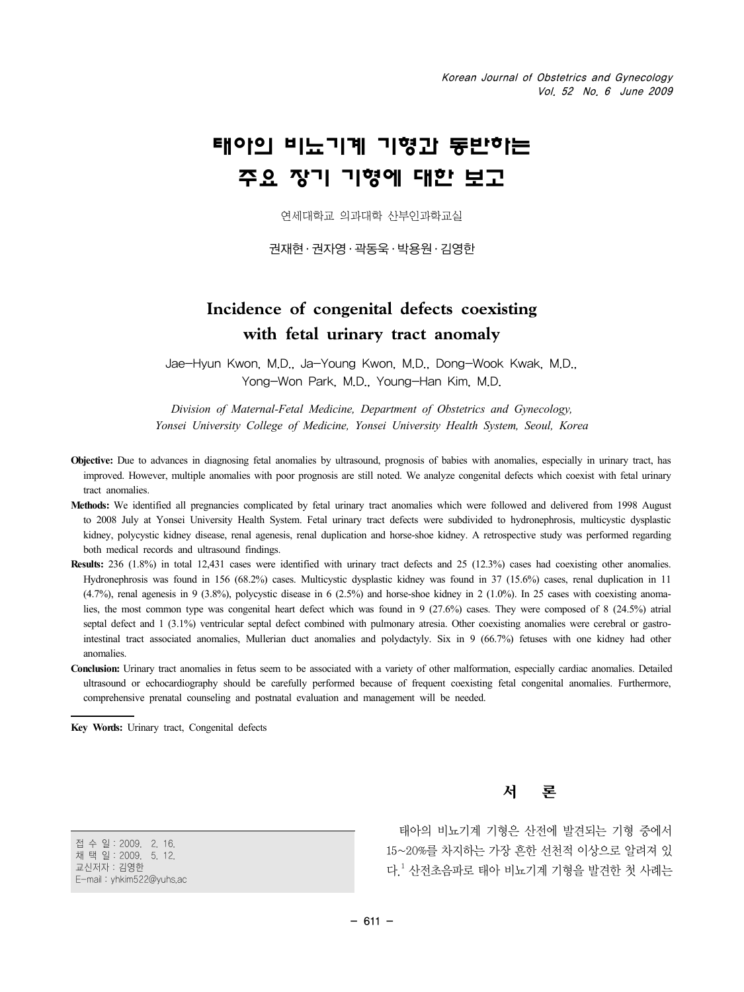# 태아의 비뇨기계 기형과 동반하는 주요 장기 기형에 대한 보고

연세대학교 의과대학 산부인과학교실

권재현 · 권자영 · 곽동욱 · 박용원 · 김영한

# **Incidence of congenital defects coexisting with fetal urinary tract anomaly**

Jae-Hyun Kwon, M.D., Ja-Young Kwon, M.D., Dong-Wook Kwak, M.D., Yong-Won Park, M.D., Young-Han Kim, M.D.

*Division of Maternal-Fetal Medicine, Department of Obstetrics and Gynecology, Yonsei University College of Medicine, Yonsei University Health System, Seoul, Korea*

- **Objective:** Due to advances in diagnosing fetal anomalies by ultrasound, prognosis of babies with anomalies, especially in urinary tract, has improved. However, multiple anomalies with poor prognosis are still noted. We analyze congenital defects which coexist with fetal urinary tract anomalies.
- **Methods:** We identified all pregnancies complicated by fetal urinary tract anomalies which were followed and delivered from 1998 August to 2008 July at Yonsei University Health System. Fetal urinary tract defects were subdivided to hydronephrosis, multicystic dysplastic kidney, polycystic kidney disease, renal agenesis, renal duplication and horse-shoe kidney. A retrospective study was performed regarding both medical records and ultrasound findings.
- **Results:** 236 (1.8%) in total 12,431 cases were identified with urinary tract defects and 25 (12.3%) cases had coexisting other anomalies. Hydronephrosis was found in 156 (68.2%) cases. Multicystic dysplastic kidney was found in 37 (15.6%) cases, renal duplication in 11  $(4.7%)$ , renal agenesis in 9 (3.8%), polycystic disease in 6 (2.5%) and horse-shoe kidney in 2 (1.0%). In 25 cases with coexisting anomalies, the most common type was congenital heart defect which was found in 9 (27.6%) cases. They were composed of 8 (24.5%) atrial septal defect and 1 (3.1%) ventricular septal defect combined with pulmonary atresia. Other coexisting anomalies were cerebral or gastrointestinal tract associated anomalies, Mullerian duct anomalies and polydactyly. Six in 9 (66.7%) fetuses with one kidney had other anomalies.
- **Conclusion:** Urinary tract anomalies in fetus seem to be associated with a variety of other malformation, especially cardiac anomalies. Detailed ultrasound or echocardiography should be carefully performed because of frequent coexisting fetal congenital anomalies. Furthermore, comprehensive prenatal counseling and postnatal evaluation and management will be needed.

**Key Words:** Urinary tract, Congenital defects

서 론

접 수 일:2009. 2. 16. 채 택 일:2009. 5. 12. 교신저자:김영한 E-mail:yhkim522@yuhs.ac

태아의 비뇨기계 기형은 산전에 발견되는 기형 중에서 15~20%를 차지하는 가장 흔한 선천적 이상으로 알려져 있 다.  $^1$  산전초음파로 태아 비뇨기계 기형을 발견한 첫 사례는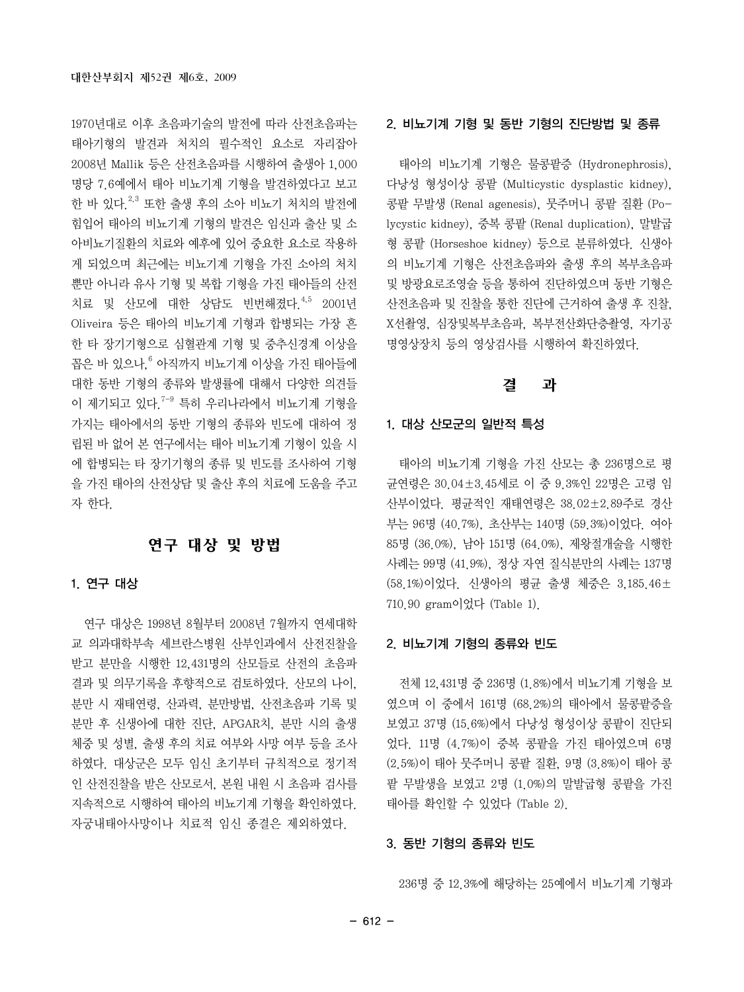1970년대로 이후 초음파기술의 발전에 따라 산전초음파는 태아기형의 발견과 처치의 필수적인 요소로 자리잡아 2008년 Mallik 등은 산전초음파를 시행하여 출생아 1,000 명당 7.6예에서 태아 비뇨기계 기형을 발견하였다고 보고 한 바 있다.2,3 또한 출생 후의 소아 비뇨기 처치의 발전에 힘입어 태아의 비뇨기계 기형의 발견은 임신과 출산 및 소 아비뇨기질환의 치료와 예후에 있어 중요한 요소로 작용하 게 되었으며 최근에는 비뇨기계 기형을 가진 소아의 처치 뿐만 아니라 유사 기형 및 복합 기형을 가진 태아들의 산전 치료 및 산모에 대한 상담도 빈번해졌다.4,5 2001년 Oliveira 등은 태아의 비뇨기계 기형과 합병되는 가장 흔 한 타 장기기형으로 심혈관계 기형 및 중추신경계 이상을 꼽은 바 있으나, <sup>6</sup> 아직까지 비뇨기계 이상을 가진 태아들에 대한 동반 기형의 종류와 발생률에 대해서 다양한 의견들 이 제기되고 있다<sup>7-9</sup> 특히 우리나라에서 비뇨기계 기형을 가지는 태아에서의 동반 기형의 종류와 빈도에 대하여 정 립된 바 없어 본 연구에서는 태아 비뇨기계 기형이 있을 시 에 합병되는 타 장기기형의 종류 및 빈도를 조사하여 기형 을 가진 태아의 산전상담 및 출산 후의 치료에 도움을 주고 자 한다.

## 연구 대상 및 방법

#### 1. 연구 대상

연구 대상은 1998년 8월부터 2008년 7월까지 연세대학 교 의과대학부속 세브란스병원 산부인과에서 산전진찰을 받고 분만을 시행한 12,431명의 산모들로 산전의 초음파 결과 및 의무기록을 후향적으로 검토하였다. 산모의 나이, 분만 시 재태연령, 산과력, 분만방법, 산전초음파 기록 및 분만 후 신생아에 대한 진단, APGAR치, 분만 시의 출생 체중 및 성별, 출생 후의 치료 여부와 사망 여부 등을 조사 하였다. 대상군은 모두 임신 초기부터 규칙적으로 정기적 인 산전진찰을 받은 산모로서, 본원 내원 시 초음파 검사를 지속적으로 시행하여 태아의 비뇨기계 기형을 확인하였다. 자궁내태아사망이나 치료적 임신 종결은 제외하였다.

#### 2. 비뇨기계 기형 및 동반 기형의 진단방법 및 종류

태아의 비뇨기계 기형은 물콩팥증 (Hydronephrosis), 다낭성 형성이상 콩팥 (Multicystic dysplastic kidney), 콩팥 무발생 (Renal agenesis), 뭇주머니 콩팥 질환 (Polycystic kidney), 중복 콩팥 (Renal duplication), 말발굽 형 콩팥 (Horseshoe kidney) 등으로 분류하였다. 신생아 의 비뇨기계 기형은 산전초음파와 출생 후의 복부초음파 및 방광요로조영술 등을 통하여 진단하였으며 동반 기형은 산전초음파 및 진찰을 통한 진단에 근거하여 출생 후 진찰, X선촬영, 심장및복부초음파, 복부전산화단층촬영, 자기공 명영상장치 등의 영상검사를 시행하여 확진하였다.

#### 결 과

#### 1. 대상 산모군의 일반적 특성

태아의 비뇨기계 기형을 가진 산모는 총 236명으로 평 균연령은 30.04±3.45세로 이 중 9.3%인 22명은 고령 임 산부이었다. 평균적인 재태연령은 38.02±2.89주로 경산 부는 96명 (40.7%), 초산부는 140명 (59.3%)이었다. 여아 85명 (36.0%), 남아 151명 (64.0%), 제왕절개술을 시행한 사례는 99명 (41.9%), 정상 자연 질식분만의 사례는 137명 (58.1%)이었다. 신생아의 평균 출생 체중은 3,185.46± 710.90 gram이었다 (Table 1).

#### 2. 비뇨기계 기형의 종류와 빈도

전체 12,431명 중 236명 (1.8%)에서 비뇨기계 기형을 보 였으며 이 중에서 161명 (68.2%)의 태아에서 물콩팥증을 보였고 37명 (15.6%)에서 다낭성 형성이상 콩팥이 진단되 었다. 11명 (4.7%)이 중복 콩팥을 가진 태아였으며 6명 (2.5%)이 태아 뭇주머니 콩팥 질환, 9명 (3.8%)이 태아 콩 팥 무발생을 보였고 2명 (1.0%)의 말발굽형 콩팥을 가진 태아를 확인할 수 있었다 (Table 2).

#### 3. 동반 기형의 종류와 빈도

236명 중 12.3%에 해당하는 25예에서 비뇨기계 기형과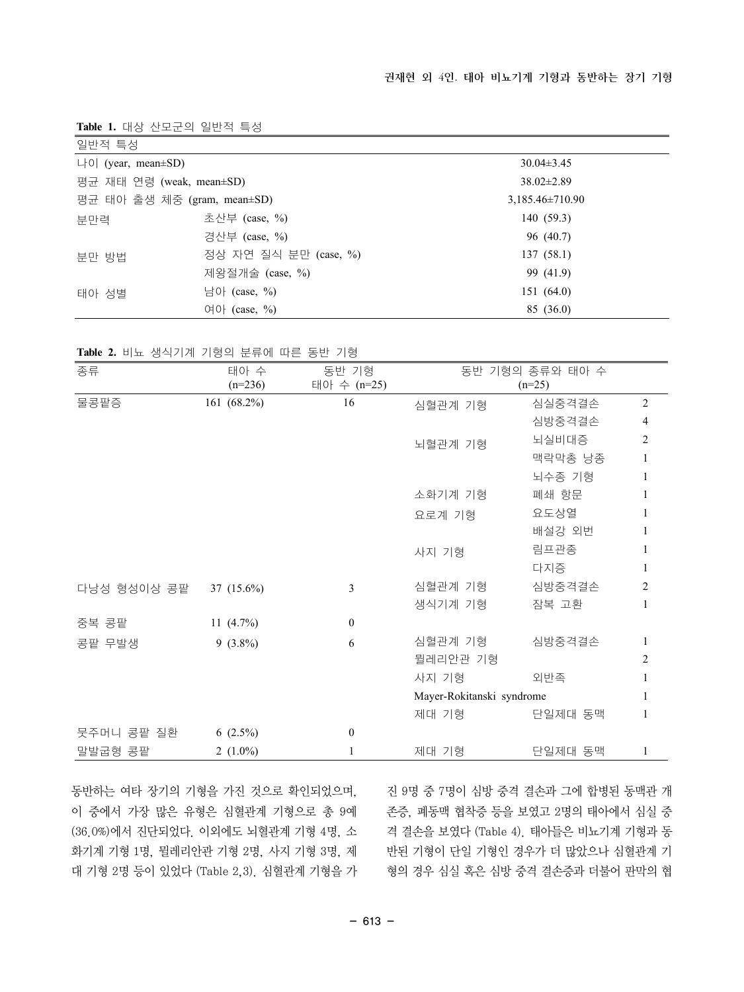**Table 1.** 대상 산모군의 일반적 특성

| 일반적 특성                      |                       |  |                     |  |
|-----------------------------|-----------------------|--|---------------------|--|
| 나이 (year, mean $\pm$ SD)    |                       |  | $30.04\pm3.45$      |  |
| 평균 재태 연령 (weak, mean±SD)    |                       |  | $38.02 \pm 2.89$    |  |
| 평균 태아 출생 체중 (gram, mean±SD) |                       |  | $3,185.46\pm710.90$ |  |
| 분만력                         | 초산부 (case, %)         |  | 140(59.3)           |  |
|                             | 경산부 (case, %)         |  | 96 (40.7)           |  |
| 부만 방법                       | 정상 자연 질식 분만 (case, %) |  | 137(58.1)           |  |
|                             | 제왕절개술 (case, %)       |  | 99 (41.9)           |  |
| 태아 성별                       | 남아 (case, %)          |  | 151(64.0)           |  |
|                             | 여아 $(case, %)$        |  | 85 (36.0)           |  |

**Table 2.** 비뇨 생식기계 기형의 분류에 따른 동반 기형

| 종류          | 태아 수         | 동반 기형            |                           | 동반 기형의 종류와 태아 수 |                |
|-------------|--------------|------------------|---------------------------|-----------------|----------------|
|             | $(n=236)$    | 태아 수 (n=25)      |                           | $(n=25)$        |                |
| 물콩팥증        | 161 (68.2%)  | 16               | 심혈관계 기형                   | 심실중격결손          | $\overline{2}$ |
|             |              |                  |                           | 심방중격결손          | $\overline{4}$ |
|             |              |                  | 뇌혈관계 기형                   | 뇌실비대증           | $\overline{c}$ |
|             |              |                  |                           | 맥락막총 낭종         | 1              |
|             |              |                  |                           | 뇌수종 기형          | 1              |
|             |              |                  | 소화기계 기형                   | 폐쇄 항문           |                |
|             |              |                  | 요로계 기형                    | 요도상열            |                |
|             |              |                  |                           | 배설강 외번          | 1              |
|             |              |                  | 사지 기형                     | 림프관종            |                |
|             |              |                  |                           | 다지증             | 1              |
| 다낭성 형성이상 콩팥 | 37 (15.6%)   | 3                | 심혈관계 기형                   | 심방중격결손          | $\overline{c}$ |
|             |              |                  | 생식기계 기형                   | 잠복 고환           | 1              |
| 중복 콩팥       | 11 $(4.7\%)$ | $\boldsymbol{0}$ |                           |                 |                |
| 콩팥 무발생      | $9(3.8\%)$   | 6                | 심혈관계 기형                   | 심방중격결손          | $\mathbf{1}$   |
|             |              |                  | 뮐레리안관 기형                  |                 | $\overline{c}$ |
|             |              |                  | 사지 기형                     | 외반족             | 1              |
|             |              |                  | Mayer-Rokitanski syndrome |                 |                |
|             |              |                  | 제대 기형                     | 단일제대 동맥         | 1              |
| 뭇주머니 콩팥 질환  | $6(2.5\%)$   | $\mathbf{0}$     |                           |                 |                |
| 말발굽형 콩팥     | 2 $(1.0\%)$  |                  | 제대 기형                     | 단일제대 동맥         | 1              |

동반하는 여타 장기의 기형을 가진 것으로 확인되었으며, 이 중에서 가장 많은 유형은 심혈관계 기형으로 총 9예 (36.0%)에서 진단되었다. 이외에도 뇌혈관계 기형 4명, 소 화기계 기형 1명, 뮐레리안관 기형 2명, 사지 기형 3명, 제 대 기형 2명 등이 있었다 (Table 2,3). 심혈관계 기형을 가

진 9명 중 7명이 심방 중격 결손과 그에 합병된 동맥관 개 존증, 폐동맥 협착증 등을 보였고 2명의 태아에서 심실 중 격 결손을 보였다 (Table 4). 태아들은 비뇨기계 기형과 동 반된 기형이 단일 기형인 경우가 더 많았으나 심혈관계 기 형의 경우 심실 혹은 심방 중격 결손증과 더불어 판막의 협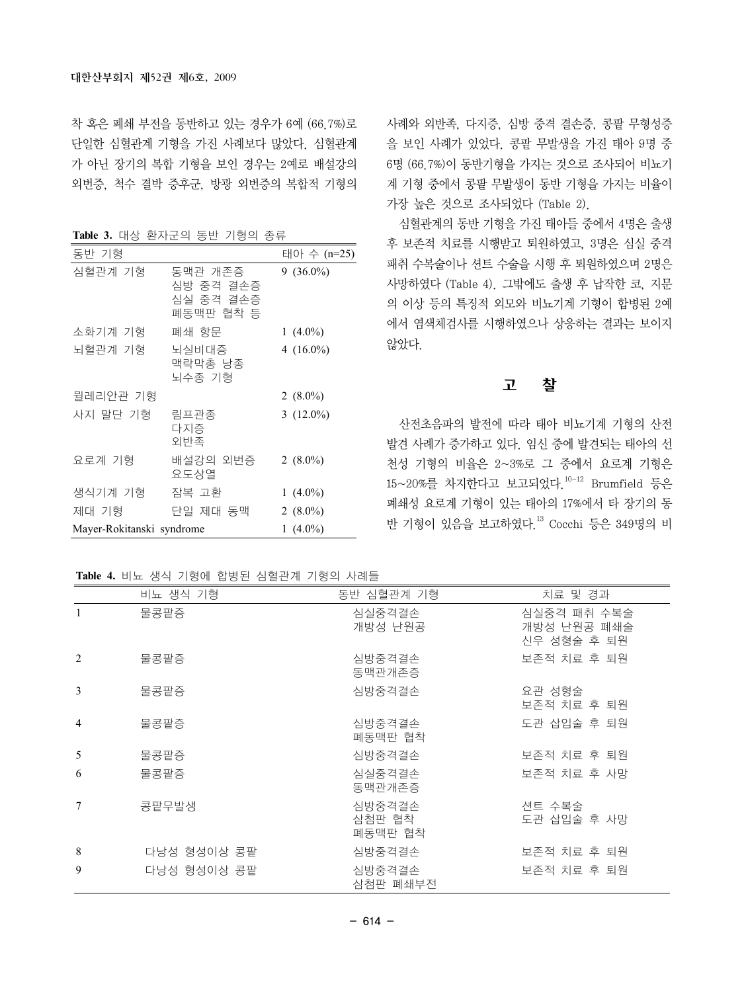착 혹은 폐쇄 부전을 동반하고 있는 경우가 6예 (66.7%)로 단일한 심혈관계 기형을 가진 사례보다 많았다. 심혈관계 가 아닌 장기의 복합 기형을 보인 경우는 2예로 배설강의 외번증, 척수 결박 증후군, 방광 외번증의 복합적 기형의

**Table 3.** 대상 환자군의 동반 기형의 종류

| 동반 기형                     |                                                | 태아 수 (n=25)  |
|---------------------------|------------------------------------------------|--------------|
| 심혈관계 기형                   | 동맥관 개존증<br>심방 중격 결손증<br>심실 중격 결손증<br>폐동맥판 협착 등 | $9(36.0\%)$  |
| 소화기계 기형                   | 폐쇄 항문                                          | 1 $(4.0\%)$  |
| 뇌혈관계 기형                   | 뇌실비대증<br>맥락막총 낭종<br>뇌수종 기형                     | 4 $(16.0\%)$ |
| 뮐레리안관 기형                  |                                                | $2(8.0\%)$   |
| 사지 말단 기형                  | 림프관종<br>다지증<br>외반족                             | 3 $(12.0\%)$ |
| 요로계 기형                    | 배설강의 외번증<br>요도상열                               | 2 $(8.0\%)$  |
| 생식기계 기형                   | 잠복 고환                                          | 1 $(4.0\%)$  |
| 제대 기형                     | 단일 제대 동맥.                                      | 2 $(8.0\%)$  |
| Mayer-Rokitanski syndrome | 1 $(4.0\%)$                                    |              |

사례와 외반족, 다지증, 심방 중격 결손증, 콩팥 무형성증 을 보인 사례가 있었다. 콩팥 무발생을 가진 태아 9명 중 6명 (66.7%)이 동반기형을 가지는 것으로 조사되어 비뇨기 계 기형 중에서 콩팥 무발생이 동반 기형을 가지는 비율이 가장 높은 것으로 조사되었다 (Table 2).

심혈관계의 동반 기형을 가진 태아들 중에서 4명은 출생 후 보존적 치료를 시행받고 퇴원하였고, 3명은 심실 중격 패취 수복술이나 션트 수술을 시행 후 퇴원하였으며 2명은 사망하였다 (Table 4). 그밖에도 출생 후 납작한 코, 지문 의 이상 등의 특징적 외모와 비뇨기계 기형이 합병된 2예 에서 염색체검사를 시행하였으나 상응하는 결과는 보이지 않았다.

#### 고 찰

산전초음파의 발전에 따라 태아 비뇨기계 기형의 산전 발견 사례가 증가하고 있다. 임신 중에 발견되는 태아의 선 천성 기형의 비율은 2~3%로 그 중에서 요로계 기형은 15~20%를 차지한다고 보고되었다.10-12 Brumfield 등은 폐쇄성 요로계 기형이 있는 태아의 17%에서 타 장기의 동 반 기형이 있음을 보고하였다.13 Cocchi 등은 349명의 비

**Table 4.** 비뇨 생식 기형에 합병된 심혈관계 기형의 사례들

|   | 비뇨 생식 기형    | 동반 심혈관계 기형                  | 치료 및 경과                                   |
|---|-------------|-----------------------------|-------------------------------------------|
| 1 | 물콩팥증        | 심실중격결손<br>개방성 난원공           | 심실중격 패취 수복술<br>개방성 난원공 폐쇄술<br>신우 성형술 후 퇴원 |
| 2 | 물콩팥증        | 심방중격결손<br>동맥관개존증            | 보존적 치료 후 퇴원                               |
| 3 | 물콩팥증        | 심방중격결손                      | 요관 성형술<br>보존적 치료 후 퇴원                     |
| 4 | 물콩팥증        | 심방중격결손<br>폐동맥판 협착           | 도관 삽입술 후 퇴원                               |
| 5 | 물콩팥증        | 심방중격결손                      | 보존적 치료 후 퇴원                               |
| 6 | 물콩팥증        | 심실중격결손<br>동맥관개존증            | 보존적 치료 후 사망                               |
| 7 | 콩팥무발생       | 심방중격결손<br>삼첨판 협착<br>폐동맥판 협착 | 션트 수복술<br>도관 삽입술 후 사망                     |
| 8 | 다낭성 형성이상 콩팥 | 심방중격결손                      | 보존적 치료 후 퇴원                               |
| 9 | 다낭성 형성이상 콩팥 | 심방중격결손<br>삼첨판 폐쇄부전          | 보존적 치료 후 퇴원                               |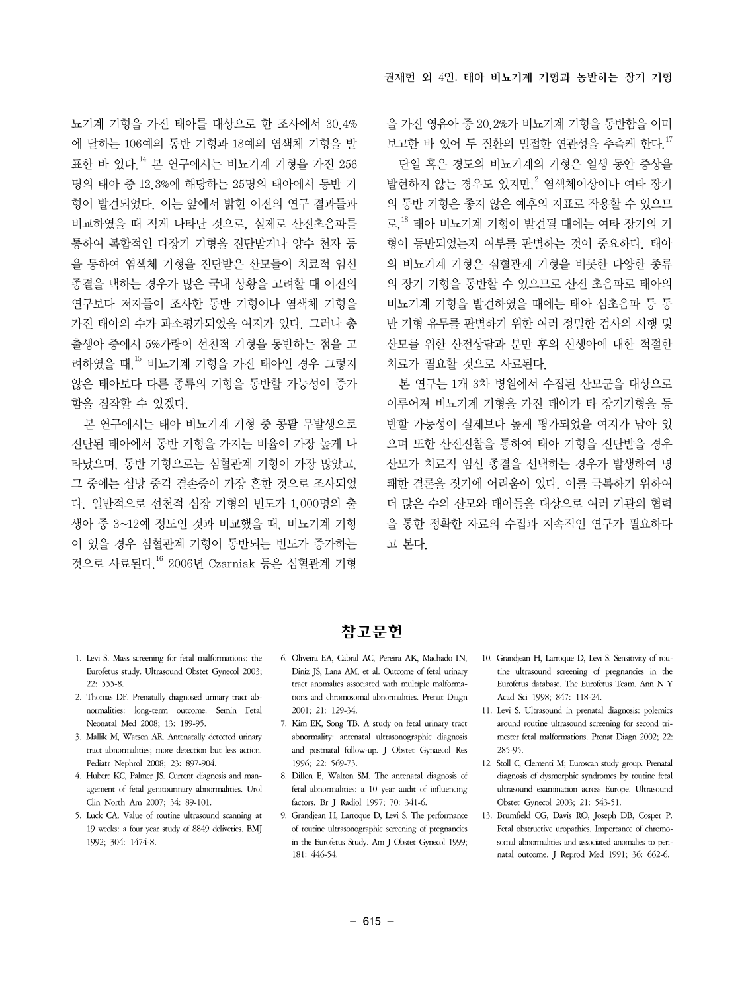뇨기계 기형을 가진 태아를 대상으로 한 조사에서 30.4% 에 달하는 106예의 동반 기형과 18예의 염색체 기형을 발 표한 바 있다.14 본 연구에서는 비뇨기계 기형을 가진 256 명의 태아 중 12.3%에 해당하는 25명의 태아에서 동반 기 형이 발견되었다. 이는 앞에서 밝힌 이전의 연구 결과들과 비교하였을 때 적게 나타난 것으로, 실제로 산전초음파를 통하여 복합적인 다장기 기형을 진단받거나 양수 천자 등 을 통하여 염색체 기형을 진단받은 산모들이 치료적 임신 종결을 택하는 경우가 많은 국내 상황을 고려할 때 이전의 연구보다 저자들이 조사한 동반 기형이나 염색체 기형을 가진 태아의 수가 과소평가되었을 여지가 있다. 그러나 총 출생아 중에서 5%가량이 선천적 기형을 동반하는 점을 고 려하였을 때,15 비뇨기계 기형을 가진 태아인 경우 그렇지 않은 태아보다 다른 종류의 기형을 동반할 가능성이 증가 함을 짐작할 수 있겠다.

본 연구에서는 태아 비뇨기계 기형 중 콩팥 무발생으로 진단된 태아에서 동반 기형을 가지는 비율이 가장 높게 나 타났으며, 동반 기형으로는 심혈관계 기형이 가장 많았고, 그 중에는 심방 중격 결손증이 가장 흔한 것으로 조사되었 다. 일반적으로 선천적 심장 기형의 빈도가 1,000명의 출 생아 중 3~12예 정도인 것과 비교했을 때, 비뇨기계 기형 이 있을 경우 심혈관계 기형이 동반되는 빈도가 증가하는 것으로 사료된다.16 2006년 Czarniak 등은 심혈관계 기형

을 가진 영유아 중 20.2%가 비뇨기계 기형을 동반함을 이미 보고한 바 있어 두 질환의 밀접한 연관성을 추측케 한다.<sup>17</sup> 단일 혹은 경도의 비뇨기계의 기형은 일생 동안 증상을 발현하지 않는 경우도 있지만,<sup>2</sup> 염색체이상이나 여타 장기 의 동반 기형은 좋지 않은 예후의 지표로 작용할 수 있으므 로,18 태아 비뇨기계 기형이 발견될 때에는 여타 장기의 기 형이 동반되었는지 여부를 판별하는 것이 중요하다. 태아 의 비뇨기계 기형은 심혈관계 기형을 비롯한 다양한 종류 의 장기 기형을 동반할 수 있으므로 산전 초음파로 태아의 비뇨기계 기형을 발견하였을 때에는 태아 심초음파 등 동 반 기형 유무를 판별하기 위한 여러 정밀한 검사의 시행 및 산모를 위한 산전상담과 분만 후의 신생아에 대한 적절한 치료가 필요할 것으로 사료된다.

본 연구는 1개 3차 병원에서 수집된 산모군을 대상으로 이루어져 비뇨기계 기형을 가진 태아가 타 장기기형을 동 반할 가능성이 실제보다 높게 평가되었을 여지가 남아 있 으며 또한 산전진찰을 통하여 태아 기형을 진단받을 경우 산모가 치료적 임신 종결을 선택하는 경우가 발생하여 명 쾌한 결론을 짓기에 어려움이 있다. 이를 극복하기 위하여 더 많은 수의 산모와 태아들을 대상으로 여러 기관의 협력 을 통한 정확한 자료의 수집과 지속적인 연구가 필요하다 고 본다.

- 참고문헌
- 1. Levi S. Mass screening for fetal malformations: the Eurofetus study. Ultrasound Obstet Gynecol 2003; 22: 555-8.
- 2. Thomas DF. Prenatally diagnosed urinary tract abnormalities: long-term outcome. Semin Fetal Neonatal Med 2008; 13: 189-95.
- 3. Mallik M, Watson AR. Antenatally detected urinary tract abnormalities; more detection but less action. Pediatr Nephrol 2008; 23: 897-904.
- 4. Hubert KC, Palmer JS. Current diagnosis and management of fetal genitourinary abnormalities. Urol Clin North Am 2007; 34: 89-101.
- 5. Luck CA. Value of routine ultrasound scanning at 19 weeks: a four year study of 8849 deliveries. BMJ 1992; 304: 1474-8.
- 6. Oliveira EA, Cabral AC, Pereira AK, Machado IN, Diniz JS, Lana AM, et al. Outcome of fetal urinary tract anomalies associated with multiple malformations and chromosomal abnormalities. Prenat Diagn 2001; 21: 129-34.
- 7. Kim EK, Song TB. A study on fetal urinary tract abnormality: antenatal ultrasonographic diagnosis and postnatal follow-up. J Obstet Gynaecol Res 1996; 22: 569-73.
- 8. Dillon E, Walton SM. The antenatal diagnosis of fetal abnormalities: a 10 year audit of influencing factors. Br J Radiol 1997; 70: 341-6.
- 9. Grandjean H, Larroque D, Levi S. The performance of routine ultrasonographic screening of pregnancies in the Eurofetus Study. Am J Obstet Gynecol 1999; 181: 446-54.
- 10. Grandjean H, Larroque D, Levi S. Sensitivity of routine ultrasound screening of pregnancies in the Eurofetus database. The Eurofetus Team. Ann N Y Acad Sci 1998; 847: 118-24.
- 11. Levi S. Ultrasound in prenatal diagnosis: polemics around routine ultrasound screening for second trimester fetal malformations. Prenat Diagn 2002; 22: 285-95.
- 12. Stoll C, Clementi M; Euroscan study group. Prenatal diagnosis of dysmorphic syndromes by routine fetal ultrasound examination across Europe. Ultrasound Obstet Gynecol 2003; 21: 543-51.
- 13. Brumfield CG, Davis RO, Joseph DB, Cosper P. Fetal obstructive uropathies. Importance of chromosomal abnormalities and associated anomalies to perinatal outcome. J Reprod Med 1991; 36: 662-6.